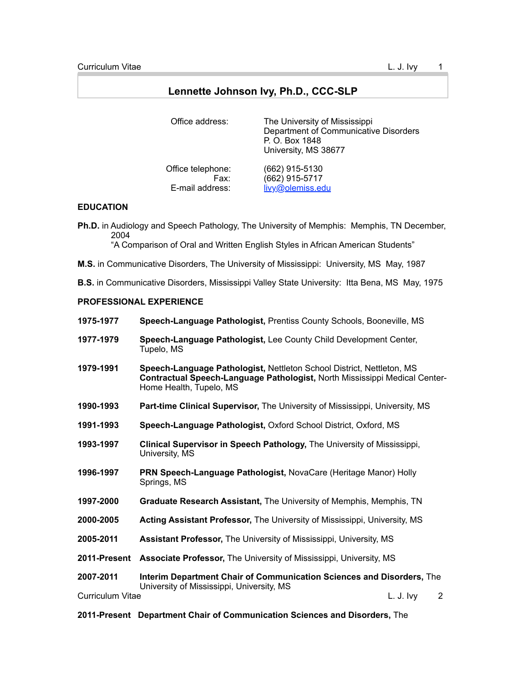# **Lennette Johnson Ivy, Ph.D., CCC-SLP**

| Office address:   | The University of Mississippi<br>Department of Communicative Disorders<br>P. O. Box 1848<br>University, MS 38677 |
|-------------------|------------------------------------------------------------------------------------------------------------------|
| Office telephone: | (662) 915-5130                                                                                                   |
| Fax:              | (662) 915-5717                                                                                                   |
| E-mail address:   | livy@olemiss.edu                                                                                                 |

## **EDUCATION**

**Ph.D.** in Audiology and Speech Pathology, The University of Memphis: Memphis, TN December, 2004 "A Comparison of Oral and Written English Styles in African American Students"

**M.S.** in Communicative Disorders, The University of Mississippi: University, MS May, 1987

**B.S.** in Communicative Disorders, Mississippi Valley State University: Itta Bena, MS May, 1975

# **PROFESSIONAL EXPERIENCE**

| 1975-1977    | Speech-Language Pathologist, Prentiss County Schools, Booneville, MS                                                                                                           |
|--------------|--------------------------------------------------------------------------------------------------------------------------------------------------------------------------------|
| 1977-1979    | Speech-Language Pathologist, Lee County Child Development Center,<br>Tupelo, MS                                                                                                |
| 1979-1991    | Speech-Language Pathologist, Nettleton School District, Nettleton, MS<br>Contractual Speech-Language Pathologist, North Mississippi Medical Center-<br>Home Health, Tupelo, MS |
| 1990-1993    | Part-time Clinical Supervisor, The University of Mississippi, University, MS                                                                                                   |
| 1991-1993    | Speech-Language Pathologist, Oxford School District, Oxford, MS                                                                                                                |
| 1993-1997    | Clinical Supervisor in Speech Pathology, The University of Mississippi,<br>University, MS                                                                                      |
| 1996-1997    | PRN Speech-Language Pathologist, NovaCare (Heritage Manor) Holly<br>Springs, MS                                                                                                |
| 1997-2000    | Graduate Research Assistant, The University of Memphis, Memphis, TN                                                                                                            |
| 2000-2005    | Acting Assistant Professor, The University of Mississippi, University, MS                                                                                                      |
| 2005-2011    | <b>Assistant Professor, The University of Mississippi, University, MS</b>                                                                                                      |
| 2011-Present | <b>Associate Professor, The University of Mississippi, University, MS</b>                                                                                                      |
| 2007-2011    | Interim Department Chair of Communication Sciences and Disorders, The<br>University of Mississippi, University, MS                                                             |

Curriculum Vitae L. J. Ivy 2

**2011-Present Department Chair of Communication Sciences and Disorders,** The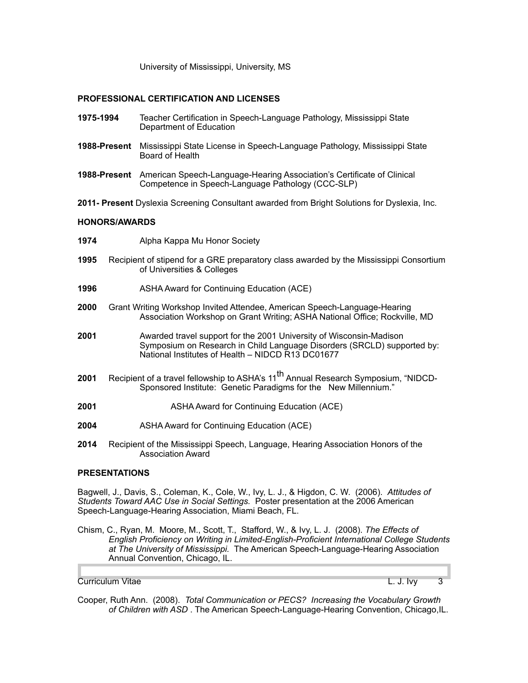University of Mississippi, University, MS

## **PROFESSIONAL CERTIFICATION AND LICENSES**

- **1975-1994** Teacher Certification in Speech-Language Pathology, Mississippi State Department of Education
- **1988-Present** Mississippi State License in Speech-Language Pathology, Mississippi State Board of Health
- **1988-Present** American Speech-Language-Hearing Association's Certificate of Clinical Competence in Speech-Language Pathology (CCC-SLP)
- **2011- Present** Dyslexia Screening Consultant awarded from Bright Solutions for Dyslexia, Inc.

#### **HONORS/AWARDS**

- **1974** Alpha Kappa Mu Honor Society
- **1995** Recipient of stipend for a GRE preparatory class awarded by the Mississippi Consortium of Universities & Colleges
- **1996** ASHA Award for Continuing Education (ACE)
- **2000** Grant Writing Workshop Invited Attendee, American Speech-Language-Hearing Association Workshop on Grant Writing; ASHA National Office; Rockville, MD
- **2001** Awarded travel support for the 2001 University of Wisconsin-Madison Symposium on Research in Child Language Disorders (SRCLD) supported by: National Institutes of Health – NIDCD R13 DC01677
- **2001** Recipient of a travel fellowship to ASHA's 11<sup>th</sup> Annual Research Symposium, "NIDCD-Sponsored Institute: Genetic Paradigms for the New Millennium."
- **2001** ASHA Award for Continuing Education (ACE)
- **2004** ASHA Award for Continuing Education (ACE)
- **2014** Recipient of the Mississippi Speech, Language, Hearing Association Honors of the Association Award

#### **PRESENTATIONS**

Bagwell, J., Davis, S., Coleman, K., Cole, W., Ivy, L. J., & Higdon, C. W. (2006). *Attitudes of Students Toward AAC Use in Social Settings.* Poster presentation at the 2006 American Speech-Language-Hearing Association, Miami Beach, FL.

Chism, C., Ryan, M. Moore, M., Scott, T., Stafford, W., & Ivy, L. J. (2008). *The Effects of English Proficiency on Writing in Limited-English-Proficient International College Students at The University of Mississippi.* The American Speech-Language-Hearing Association Annual Convention, Chicago, IL.

Curriculum Vitae L. J. Ivy 3

Cooper, Ruth Ann. (2008). *Total Communication or PECS? Increasing the Vocabulary Growth of Children with ASD* . The American Speech-Language-Hearing Convention, Chicago,IL.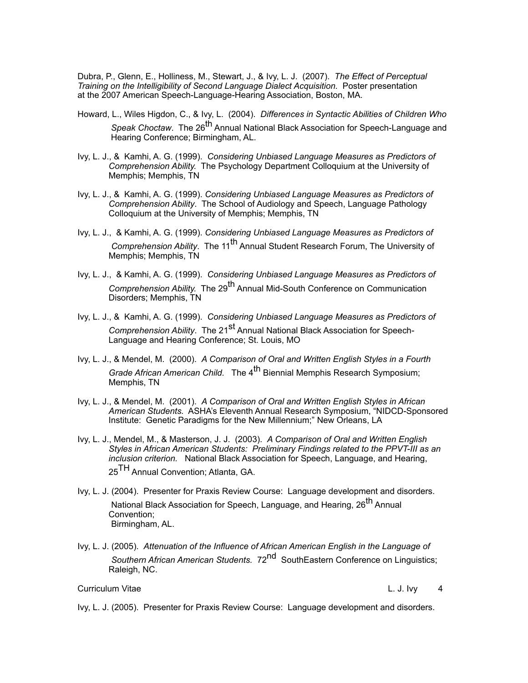Dubra, P., Glenn, E., Holliness, M., Stewart, J., & Ivy, L. J. (2007). *The Effect of Perceptual Training on the Intelligibility of Second Language Dialect Acquisition.* Poster presentation at the 2007 American Speech-Language-Hearing Association, Boston, MA.

- Howard, L., Wiles Higdon, C., & Ivy, L. (2004). *Differences in Syntactic Abilities of Children Who Speak Choctaw.* The 26<sup>th</sup> Annual National Black Association for Speech-Language and Hearing Conference; Birmingham, AL.
- Ivy, L. J., & Kamhi, A. G. (1999). *Considering Unbiased Language Measures as Predictors of Comprehension Ability.* The Psychology Department Colloquium at the University of Memphis; Memphis, TN
- Ivy, L. J., & Kamhi, A. G. (1999). *Considering Unbiased Language Measures as Predictors of Comprehension Ability*. The School of Audiology and Speech, Language Pathology Colloquium at the University of Memphis; Memphis, TN
- Ivy, L. J., & Kamhi, A. G. (1999). *Considering Unbiased Language Measures as Predictors of Comprehension Ability*. The 11<sup>th</sup> Annual Student Research Forum, The University of Memphis; Memphis, TN
- Ivy, L. J., & Kamhi, A. G. (1999). *Considering Unbiased Language Measures as Predictors of Comprehension Ability.* The 29<sup>th</sup> Annual Mid-South Conference on Communication Disorders; Memphis, TN
- Ivy, L. J., & Kamhi, A. G. (1999). *Considering Unbiased Language Measures as Predictors of Comprehension Ability*. The 21<sup>st</sup> Annual National Black Association for Speech-Language and Hearing Conference; St. Louis, MO
- Ivy, L. J., & Mendel, M. (2000). *A Comparison of Oral and Written English Styles in a Fourth Grade African American Child.* The 4<sup>th</sup> Biennial Memphis Research Symposium; Memphis, TN
- Ivy, L. J., & Mendel, M. (2001). *A Comparison of Oral and Written English Styles in African American Students.* ASHA's Eleventh Annual Research Symposium, "NIDCD-Sponsored Institute: Genetic Paradigms for the New Millennium;" New Orleans, LA
- Ivy, L. J., Mendel, M., & Masterson, J. J. (2003). *A Comparison of Oral and Written English Styles in African American Students: Preliminary Findings related to the PPVT-III as an inclusion criterion.* National Black Association for Speech, Language, and Hearing, 25<sup>TH</sup> Annual Convention; Atlanta, GA.
- Ivy, L. J. (2004). Presenter for Praxis Review Course: Language development and disorders. National Black Association for Speech, Language, and Hearing, 26<sup>th</sup> Annual Convention; Birmingham, AL.
- Ivy, L. J. (2005). *Attenuation of the Influence of African American English in the Language of Southern African American Students.* 72nd SouthEastern Conference on Linguistics; Raleigh, NC.

# Curriculum Vitae L. J. Ivy 4

Ivy, L. J. (2005).Presenter for Praxis Review Course: Language development and disorders.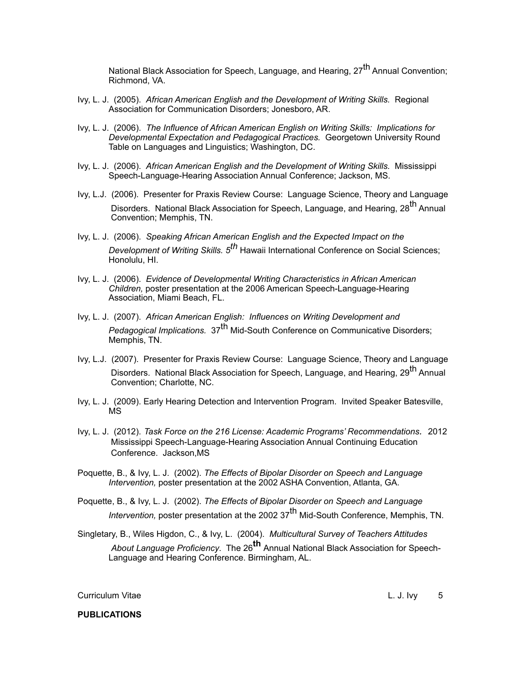National Black Association for Speech, Language, and Hearing, 27<sup>th</sup> Annual Convention; Richmond, VA.

- Ivy, L. J. (2005). *African American English and the Development of Writing Skills.* Regional Association for Communication Disorders; Jonesboro, AR.
- Ivy, L. J. (2006). *The Influence of African American English on Writing Skills: Implications for Developmental Expectation and Pedagogical Practices.* Georgetown University Round Table on Languages and Linguistics; Washington, DC.
- Ivy, L. J. (2006). *African American English and the Development of Writing Skills.* Mississippi Speech-Language-Hearing Association Annual Conference; Jackson, MS.
- Ivy, L.J. (2006). Presenter for Praxis Review Course: Language Science, Theory and Language Disorders. National Black Association for Speech, Language, and Hearing, 28<sup>th</sup> Annual Convention; Memphis, TN.
- Ivy, L. J. (2006). *Speaking African American English and the Expected Impact on the Development of Writing Skills. 5th* Hawaii International Conference on Social Sciences; Honolulu, HI.
- Ivy, L. J. (2006). *Evidence of Developmental Writing Characteristics in African American Children,* poster presentation at the 2006 American Speech-Language-Hearing Association, Miami Beach, FL.
- Ivy, L. J. (2007). *African American English: Influences on Writing Development and Pedagogical Implications.* 37th Mid-South Conference on Communicative Disorders; Memphis, TN.
- Ivy, L.J. (2007). Presenter for Praxis Review Course: Language Science, Theory and Language Disorders. National Black Association for Speech, Language, and Hearing, 29<sup>th</sup> Annual Convention; Charlotte, NC.
- Ivy, L. J. (2009). Early Hearing Detection and Intervention Program. Invited Speaker Batesville, MS
- Ivy, L. J. (2012). *Task Force on the 216 License: Academic Programs' Recommendations.* 2012 Mississippi Speech-Language-Hearing Association Annual Continuing Education Conference. Jackson,MS
- Poquette, B., & Ivy, L. J. (2002). *The Effects of Bipolar Disorder on Speech and Language Intervention,* poster presentation at the 2002 ASHA Convention, Atlanta, GA.
- Poquette, B., & Ivy, L. J. (2002). *The Effects of Bipolar Disorder on Speech and Language Intervention, poster presentation at the 2002 37<sup>th</sup> Mid-South Conference, Memphis, TN.*
- Singletary, B., Wiles Higdon, C., & Ivy, L. (2004). *Multicultural Survey of Teachers Attitudes About Language Proficiency*. The 26**th** Annual National Black Association for Speech-Language and Hearing Conference. Birmingham, AL.

Curriculum Vitae L. J. Ivy 5

**PUBLICATIONS**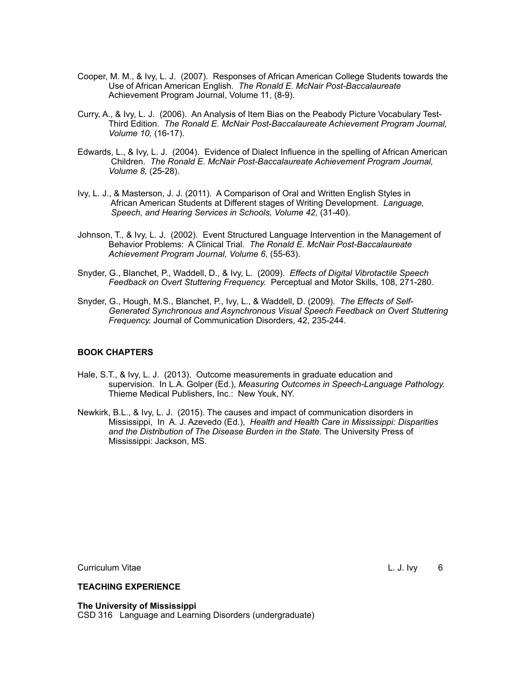- Cooper, M. M., & Ivy, L. J. (2007). Responses of African American College Students towards the Use of African American English. *The Ronald E. McNair Post-Baccalaureate*  Achievement Program Journal, Volume 11, (8-9).
- Curry, A., & Ivy, L. J. (2006). An Analysis of Item Bias on the Peabody Picture Vocabulary Test-Third Edition. *The Ronald E. McNair Post-Baccalaureate Achievement Program Journal, Volume 10,* (16-17).
- Edwards, L., & Ivy, L. J. (2004). Evidence of Dialect Influence in the spelling of African American Children. *The Ronald E. McNair Post-Baccalaureate Achievement Program Journal, Volume 8,* (25-28).
- Ivy, L. J., & Masterson, J. J. (2011). A Comparison of Oral and Written English Styles in African American Students at Different stages of Writing Development. *Language, Speech, and Hearing Services in Schools, Volume 42,* (31-40).
- Johnson, T., & Ivy, L. J. (2002). Event Structured Language Intervention in the Management of Behavior Problems: A Clinical Trial. *The Ronald E. McNair Post-Baccalaureate Achievement Program Journal, Volume 6*, (55-63).
- Snyder, G., Blanchet, P., Waddell, D., & Ivy, L. (2009). *Effects of Digital Vibrotactile Speech Feedback on Overt Stuttering Frequency.* Perceptual and Motor Skills, 108, 271-280.
- Snyder, G., Hough, M.S., Blanchet, P., Ivy, L., & Waddell, D. (2009). *The Effects of Self-Generated Synchronous and Asynchronous Visual Speech Feedback on Overt Stuttering Frequency.* Journal of Communication Disorders, 42, 235-244.

## **BOOK CHAPTERS**

- Hale, S.T., & Ivy, L. J. (2013). Outcome measurements in graduate education and supervision. In L.A. Golper (Ed.), *Measuring Outcomes in Speech-Language Pathology.* Thieme Medical Publishers, Inc.: New Youk, NY.
- Newkirk, B.L., & Ivy, L. J. (2015). The causes and impact of communication disorders in Mississippi, In A. J. Azevedo (Ed.), *Health and Health Care in Mississippi: Disparities and the Distribution of The Disease Burden in the State.* The University Press of Mississippi: Jackson, MS.

Curriculum Vitae L. J. Ivy 6

#### **TEACHING EXPERIENCE**

**The University of Mississippi** CSD 316 Language and Learning Disorders (undergraduate)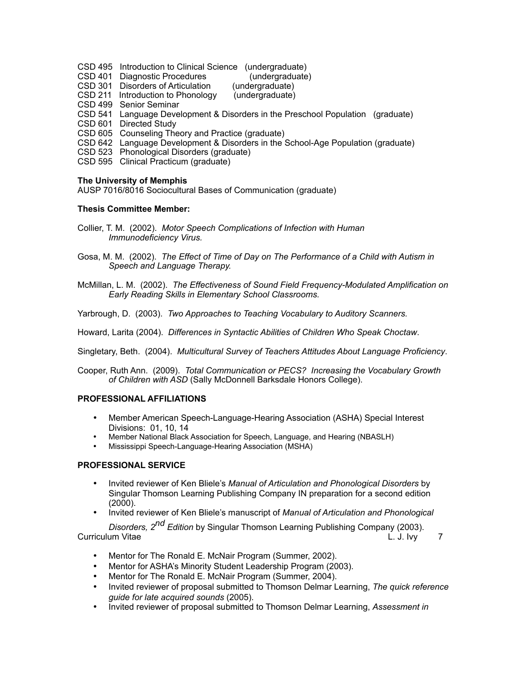- CSD 495 Introduction to Clinical Science (undergraduate)
- CSD 401 Diagnostic Procedures (undergraduate)<br>CSD 301 Disorders of Articulation (undergraduate)

CSD 301 Disorders of Articulation

CSD 211 Introduction to Phonology (undergraduate)

CSD 499 Senior Seminar

- CSD 541 Language Development & Disorders in the Preschool Population (graduate)
- CSD 601 Directed Study
- CSD 605 Counseling Theory and Practice (graduate)
- CSD 642 Language Development & Disorders in the School-Age Population (graduate)
- CSD 523 Phonological Disorders (graduate)
- CSD 595 Clinical Practicum (graduate)

#### **The University of Memphis**

AUSP 7016/8016 Sociocultural Bases of Communication (graduate)

#### **Thesis Committee Member:**

- Collier, T. M. (2002). *Motor Speech Complications of Infection with Human Immunodeficiency Virus.*
- Gosa, M. M. (2002). *The Effect of Time of Day on The Performance of a Child with Autism in Speech and Language Therapy.*
- McMillan, L. M. (2002). *The Effectiveness of Sound Field Frequency-Modulated Amplification on Early Reading Skills in Elementary School Classrooms.*

Yarbrough, D. (2003). *Two Approaches to Teaching Vocabulary to Auditory Scanners.*

Howard, Larita (2004). *Differences in Syntactic Abilities of Children Who Speak Choctaw*.

Singletary, Beth. (2004). *Multicultural Survey of Teachers Attitudes About Language Proficiency*.

Cooper, Ruth Ann. (2009). *Total Communication or PECS? Increasing the Vocabulary Growth of Children with ASD* (Sally McDonnell Barksdale Honors College).

## **PROFESSIONAL AFFILIATIONS**

- Member American Speech-Language-Hearing Association (ASHA) Special Interest Divisions: 01, 10, 14
- Member National Black Association for Speech, Language, and Hearing (NBASLH)
- Mississippi Speech-Language-Hearing Association (MSHA)

## **PROFESSIONAL SERVICE**

- Invited reviewer of Ken Bliele's *Manual of Articulation and Phonological Disorders* by Singular Thomson Learning Publishing Company IN preparation for a second edition (2000).
- Invited reviewer of Ken Bliele's manuscript of *Manual of Articulation and Phonological*

*Disorders, 2nd Edition* by Singular Thomson Learning Publishing Company (2003). Curriculum Vitae **Curriculum Vitae** Curriculum Vitae **L. J. Ivy** 7

- Mentor for The Ronald E. McNair Program (Summer, 2002).
- Mentor for ASHA's Minority Student Leadership Program (2003).
- Mentor for The Ronald E. McNair Program (Summer, 2004).
- Invited reviewer of proposal submitted to Thomson Delmar Learning, *The quick reference guide for late acquired sounds* (2005).
- Invited reviewer of proposal submitted to Thomson Delmar Learning, *Assessment in*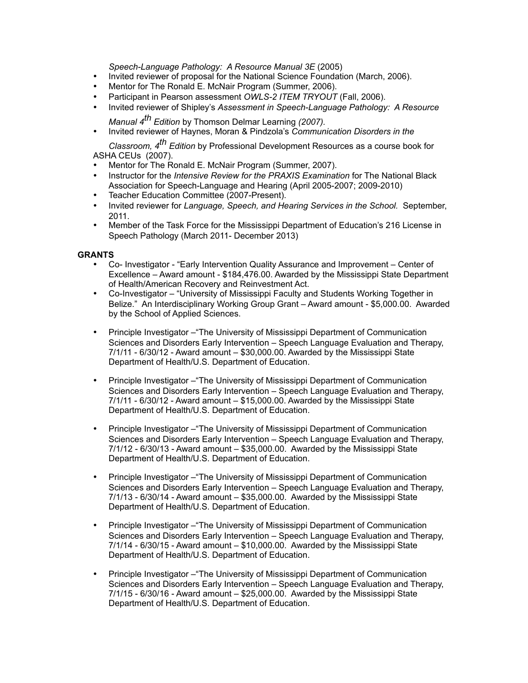*Speech-Language Pathology: A Resource Manual 3E* (2005)

- Invited reviewer of proposal for the National Science Foundation (March, 2006).
- Mentor for The Ronald E. McNair Program (Summer, 2006).
- Participant in Pearson assessment *OWLS-2 ITEM TRYOUT* (Fall, 2006).
- Invited reviewer of Shipley's *Assessment in Speech-Language Pathology: A Resource*
- *Manual 4th Edition* by Thomson Delmar Learning *(2007).*
- Invited reviewer of Haynes, Moran & Pindzola's *Communication Disorders in the*

*Classroom, 4th Edition* by Professional Development Resources as a course book for ASHA CEUs (2007).

- Mentor for The Ronald E. McNair Program (Summer, 2007).
- Instructor for the *Intensive Review for the PRAXIS Examination* for The National Black Association for Speech-Language and Hearing (April 2005-2007; 2009-2010)
- Teacher Education Committee (2007-Present).
- Invited reviewer for *Language, Speech, and Hearing Services in the School.* September, 2011.
- Member of the Task Force for the Mississippi Department of Education's 216 License in Speech Pathology (March 2011- December 2013)

# **GRANTS**

- Co- Investigator "Early Intervention Quality Assurance and Improvement Center of Excellence – Award amount - \$184,476.00. Awarded by the Mississippi State Department of Health/American Recovery and Reinvestment Act.
- Co-Investigator "University of Mississippi Faculty and Students Working Together in Belize." An Interdisciplinary Working Group Grant – Award amount - \$5,000.00. Awarded by the School of Applied Sciences.
- Principle Investigator "The University of Mississippi Department of Communication Sciences and Disorders Early Intervention – Speech Language Evaluation and Therapy, 7/1/11 - 6/30/12 - Award amount – \$30,000.00. Awarded by the Mississippi State Department of Health/U.S. Department of Education.
- Principle Investigator –"The University of Mississippi Department of Communication Sciences and Disorders Early Intervention – Speech Language Evaluation and Therapy, 7/1/11 - 6/30/12 - Award amount – \$15,000.00. Awarded by the Mississippi State Department of Health/U.S. Department of Education.
- Principle Investigator –"The University of Mississippi Department of Communication Sciences and Disorders Early Intervention – Speech Language Evaluation and Therapy, 7/1/12 - 6/30/13 - Award amount – \$35,000.00. Awarded by the Mississippi State Department of Health/U.S. Department of Education.
- Principle Investigator "The University of Mississippi Department of Communication Sciences and Disorders Early Intervention – Speech Language Evaluation and Therapy, 7/1/13 - 6/30/14 - Award amount – \$35,000.00. Awarded by the Mississippi State Department of Health/U.S. Department of Education.
- Principle Investigator –"The University of Mississippi Department of Communication Sciences and Disorders Early Intervention – Speech Language Evaluation and Therapy, 7/1/14 - 6/30/15 - Award amount – \$10,000.00. Awarded by the Mississippi State Department of Health/U.S. Department of Education.
- Principle Investigator –"The University of Mississippi Department of Communication Sciences and Disorders Early Intervention – Speech Language Evaluation and Therapy, 7/1/15 - 6/30/16 - Award amount – \$25,000.00. Awarded by the Mississippi State Department of Health/U.S. Department of Education.